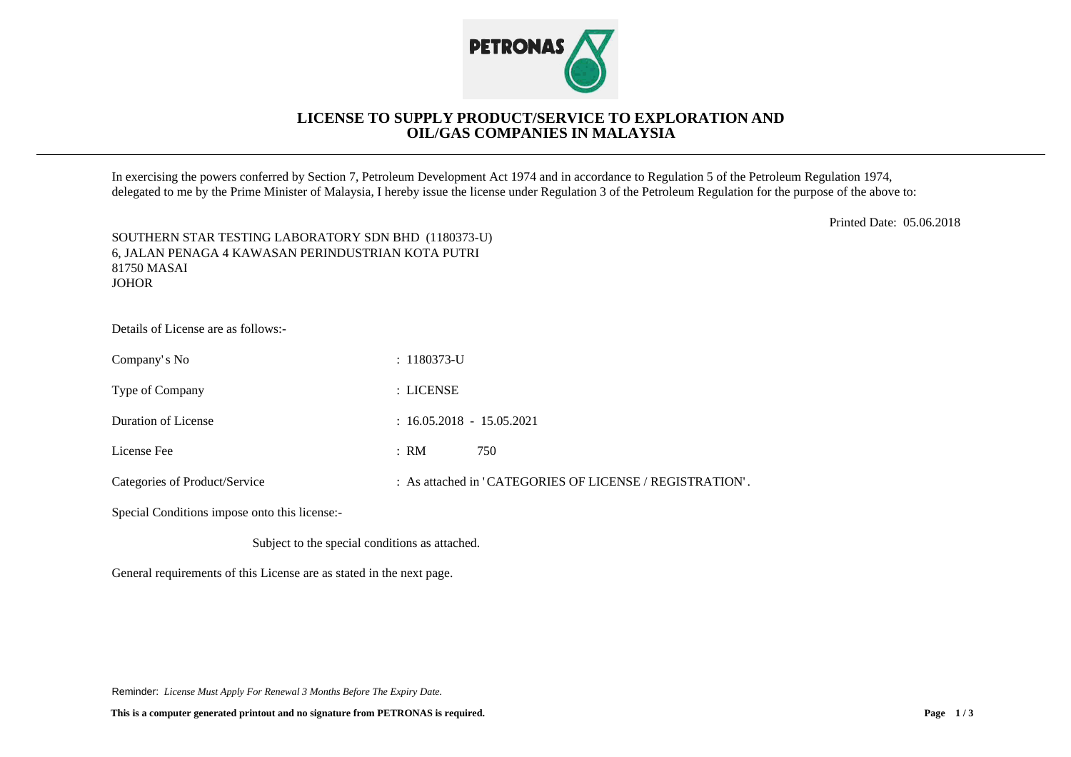

## **LICENSE TO SUPPLY PRODUCT/SERVICE TO EXPLORATION AND OIL/GAS COMPANIES IN MALAYSIA**

In exercising the powers conferred by Section 7, Petroleum Development Act 1974 and in accordance to Regulation 5 of the Petroleum Regulation 1974, delegated to me by the Prime Minister of Malaysia, I hereby issue the license under Regulation 3 of the Petroleum Regulation for the purpose of the above to:

Printed Date: 05.06.2018

| SOUTHERN STAR TESTING LABORATORY SDN BHD (1180373-U) |
|------------------------------------------------------|
| 6. JALAN PENAGA 4 KAWASAN PERINDUSTRIAN KOTA PUTRI   |
| 81750 MASAI                                          |
| <b>JOHOR</b>                                         |

Details of License are as follows:-

| Company's No                  | $: 1180373$ -U              |                                                          |
|-------------------------------|-----------------------------|----------------------------------------------------------|
| Type of Company               | : LICENSE                   |                                                          |
| Duration of License           | $: 16.05.2018 - 15.05.2021$ |                                                          |
| License Fee                   | : RM                        | 750                                                      |
| Categories of Product/Service |                             | : As attached in 'CATEGORIES OF LICENSE / REGISTRATION'. |

Special Conditions impose onto this license:-

Subject to the special conditions as attached.

General requirements of this License are as stated in the next page.

Reminder: *License Must Apply For Renewal 3 Months Before The Expiry Date.*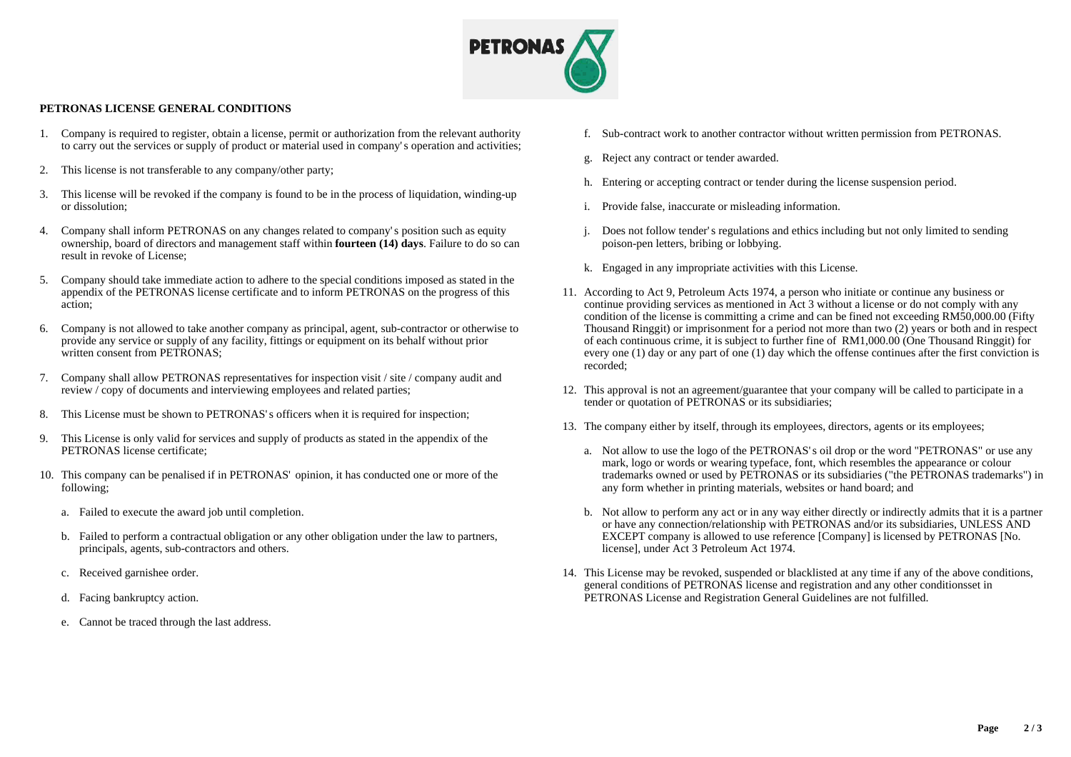

## **PETRONAS LICENSE GENERAL CONDITIONS**

- 1. Company is required to register, obtain a license, permit or authorization from the relevant authority to carry out the services or supply of product or material used in company's operation and activities;
- 2. This license is not transferable to any company/other party;
- 3. This license will be revoked if the company is found to be in the process of liquidation, winding-up or dissolution;
- 4. Company shall inform PETRONAS on any changes related to company's position such as equity ownership, board of directors and management staff within **fourteen (14) days**. Failure to do so can result in revoke of License;
- 5. Company should take immediate action to adhere to the special conditions imposed as stated in the appendix of the PETRONAS license certificate and to inform PETRONAS on the progress of this action;
- 6. Company is not allowed to take another company as principal, agent, sub-contractor or otherwise to provide any service or supply of any facility, fittings or equipment on its behalf without prior written consent from PETRONAS:
- 7. Company shall allow PETRONAS representatives for inspection visit / site / company audit and review / copy of documents and interviewing employees and related parties;
- 8. This License must be shown to PETRONAS's officers when it is required for inspection;
- 9. This License is only valid for services and supply of products as stated in the appendix of the PETRONAS license certificate;
- 10. This company can be penalised if in PETRONAS' opinion, it has conducted one or more of the following;
	- a. Failed to execute the award job until completion.
	- b. Failed to perform a contractual obligation or any other obligation under the law to partners, principals, agents, sub-contractors and others.
	- c. Received garnishee order.
	- d. Facing bankruptcy action.
	- e. Cannot be traced through the last address.
- f. Sub-contract work to another contractor without written permission from PETRONAS.
- g. Reject any contract or tender awarded.
- h. Entering or accepting contract or tender during the license suspension period.
- i. Provide false, inaccurate or misleading information.
- j. Does not follow tender's regulations and ethics including but not only limited to sending poison-pen letters, bribing or lobbying.
- k. Engaged in any impropriate activities with this License.
- 11. According to Act 9, Petroleum Acts 1974, a person who initiate or continue any business or continue providing services as mentioned in Act 3 without a license or do not comply with any condition of the license is committing a crime and can be fined not exceeding RM50,000.00 (Fifty Thousand Ringgit) or imprisonment for a period not more than two (2) years or both and in respect of each continuous crime, it is subject to further fine of RM1,000.00 (One Thousand Ringgit) for every one (1) day or any part of one (1) day which the offense continues after the first conviction is recorded;
- 12. This approval is not an agreement/guarantee that your company will be called to participate in a tender or quotation of PETRONAS or its subsidiaries;
- 13. The company either by itself, through its employees, directors, agents or its employees;
	- a. Not allow to use the logo of the PETRONAS's oil drop or the word "PETRONAS" or use any mark, logo or words or wearing typeface, font, which resembles the appearance or colour trademarks owned or used by PETRONAS or its subsidiaries ("the PETRONAS trademarks") in any form whether in printing materials, websites or hand board; and
	- b. Not allow to perform any act or in any way either directly or indirectly admits that it is a partner or have any connection/relationship with PETRONAS and/or its subsidiaries, UNLESS AND EXCEPT company is allowed to use reference [Company] is licensed by PETRONAS [No. license], under Act 3 Petroleum Act 1974.
- 14. This License may be revoked, suspended or blacklisted at any time if any of the above conditions, general conditions of PETRONAS license and registration and any other conditionsset in PETRONAS License and Registration General Guidelines are not fulfilled.